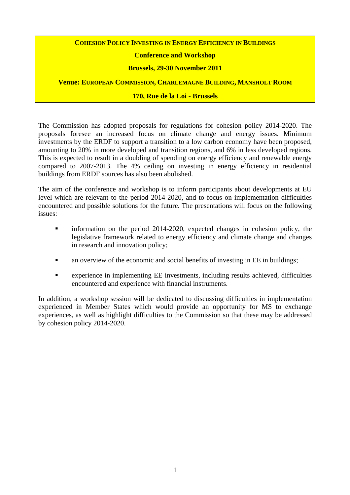# **COHESION POLICY INVESTING IN ENERGY EFFICIENCY IN BUILDINGS**

# **Conference and Workshop**

# **Brussels, 29-30 November 2011**

**Venue: EUROPEAN COMMISSION, CHARLEMAGNE BUILDING, MANSHOLT ROOM**

## **170, Rue de la Loi - Brussels**

The Commission has adopted proposals for regulations for cohesion policy 2014-2020. The proposals foresee an increased focus on climate change and energy issues. Minimum investments by the ERDF to support a transition to a low carbon economy have been proposed, amounting to 20% in more developed and transition regions, and 6% in less developed regions. This is expected to result in a doubling of spending on energy efficiency and renewable energy compared to 2007-2013. The 4% ceiling on investing in energy efficiency in residential buildings from ERDF sources has also been abolished.

The aim of the conference and workshop is to inform participants about developments at EU level which are relevant to the period 2014-2020, and to focus on implementation difficulties encountered and possible solutions for the future. The presentations will focus on the following issues:

- **information** on the period 2014-2020, expected changes in cohesion policy, the legislative framework related to energy efficiency and climate change and changes in research and innovation policy;
- an overview of the economic and social benefits of investing in EE in buildings;
- experience in implementing EE investments, including results achieved, difficulties encountered and experience with financial instruments.

In addition, a workshop session will be dedicated to discussing difficulties in implementation experienced in Member States which would provide an opportunity for MS to exchange experiences, as well as highlight difficulties to the Commission so that these may be addressed by cohesion policy 2014-2020.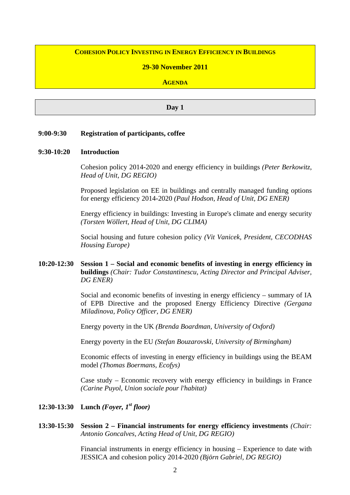# **COHESION POLICY INVESTING IN ENERGY EFFICIENCY IN BUILDINGS**

## **29-30 November 2011**

### **AGENDA**

#### **Day 1**

## **9:00-9:30 Registration of participants, coffee**

#### **9:30-10:20 Introduction**

Cohesion policy 2014-2020 and energy efficiency in buildings *(Peter Berkowitz, Head of Unit, DG REGIO)*

Proposed legislation on EE in buildings and centrally managed funding options for energy efficiency 2014-2020 *(Paul Hodson, Head of Unit, DG ENER)*

Energy efficiency in buildings: Investing in Europe's climate and energy security *(Torsten Wöllert, Head of Unit, DG CLIMA)*

Social housing and future cohesion policy *(Vit Vanicek, President, CECODHAS Housing Europe)*

# **10:20-12:30 Session 1 – Social and economic benefits of investing in energy efficiency in buildings** *(Chair: Tudor Constantinescu, Acting Director and Principal Adviser, DG ENER)*

Social and economic benefits of investing in energy efficiency – summary of IA of EPB Directive and the proposed Energy Efficiency Directive *(Gergana Miladinova, Policy Officer, DG ENER)*

Energy poverty in the UK *(Brenda Boardman, University of Oxford)*

Energy poverty in the EU *(Stefan Bouzarovski, University of Birmingham)*

Economic effects of investing in energy efficiency in buildings using the BEAM model *(Thomas Boermans, Ecofys)*

Case study – Economic recovery with energy efficiency in buildings in France *(Carine Puyol, Union sociale pour l'habitat)*

**12:30-13:30 Lunch** *(Foyer, 1st floor)*

## **13:30-15:30 Session 2 – Financial instruments for energy efficiency investments** *(Chair: Antonio Goncalves, Acting Head of Unit, DG REGIO)*

Financial instruments in energy efficiency in housing – Experience to date with JESSICA and cohesion policy 2014-2020 *(Björn Gabriel, DG REGIO)*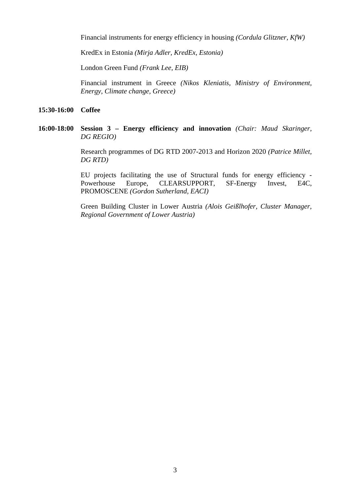Financial instruments for energy efficiency in housing *(Cordula Glitzner, KfW)* 

KredEx in Estonia *(Mirja Adler, KredEx, Estonia)*

London Green Fund *(Frank Lee, EIB)*

Financial instrument in Greece *(Nikos Kleniatis, Ministry of Environment, Energy, Climate change, Greece)*

## **15:30-16:00 Coffee**

## **16:00-18:00 Session 3 – Energy efficiency and innovation** *(Chair: Maud Skaringer, DG REGIO)*

Research programmes of DG RTD 2007-2013 and Horizon 2020 *(Patrice Millet, DG RTD)*

EU projects facilitating the use of Structural funds for energy efficiency - Powerhouse Europe, CLEARSUPPORT, SF-Energy Invest, E4C, PROMOSCENE *(Gordon Sutherland, EACI)*

Green Building Cluster in Lower Austria *(Alois Geißlhofer, Cluster Manager, Regional Government of Lower Austria)*